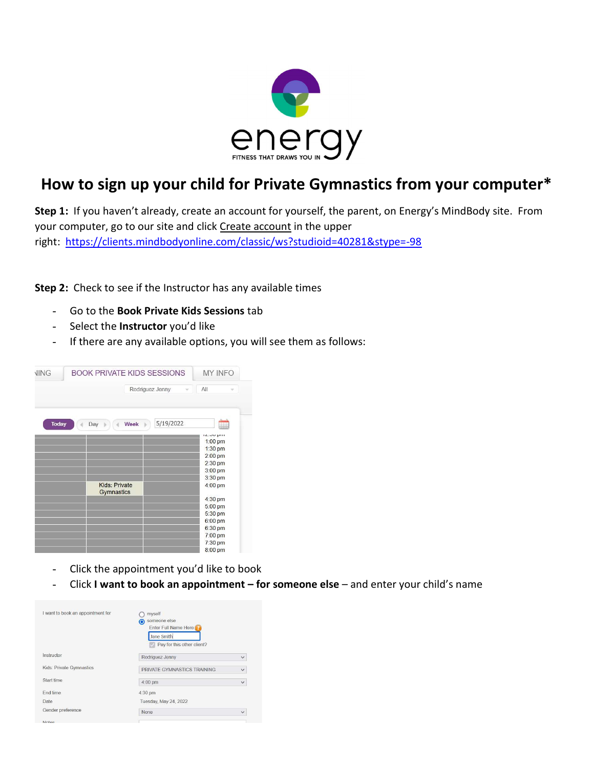

# How to sign up your child for Private Gymnastics from your computer\*

Step 1: If you haven't already, create an account for yourself, the parent, on Energy's MindBody site. From your computer, go to our site and click Create account in the upper right: https://clients.mindbodyonline.com/classic/ws?studioid=40281&stype=-98

Step 2: Check to see if the Instructor has any available times

- Go to the **Book Private Kids Sessions** tab
- Select the Instructor you'd like
- If there are any available options, you will see them as follows:

| <b>VING</b>  | <b>BOOK PRIVATE KIDS SESSIONS</b> | <b>MY INFO</b>         |
|--------------|-----------------------------------|------------------------|
|              | Rodriguez Jenny                   | All                    |
| <b>Today</b> | 5/19/2022<br><b>Week</b><br>Day   | 曲                      |
|              |                                   | <b>IL.VV PIII</b>      |
|              |                                   | $1:00$ pm<br>$1:30$ pm |
|              |                                   | $2:00$ pm              |
|              |                                   | 2:30 pm                |
|              |                                   | 3:00 pm                |
|              |                                   | 3:30 pm                |
|              | Kids: Private<br>Gymnastics       | 4:00 pm                |
|              |                                   | 4:30 pm                |
|              |                                   | 5:00 pm                |
|              |                                   | 5:30 pm                |
|              |                                   |                        |
|              |                                   | 6:00 pm                |
|              |                                   | 6:30 pm                |
|              |                                   | 7:00 pm<br>7:30 pm     |

- Click the appointment you'd like to book
- Click I want to book an appointment for someone else and enter your child's name

| I want to book an appointment for | myself<br>someone else<br>⋒<br>Enter Full Name Here<br>Jane Smith<br>Pay for this other client? |              |
|-----------------------------------|-------------------------------------------------------------------------------------------------|--------------|
| Instructor                        | Rodriguez Jenny                                                                                 | $\checkmark$ |
| Kids: Private Gymnastics          | PRIVATE GYMNASTICS TRAINING                                                                     | $\checkmark$ |
| Start time                        | 4:00 pm                                                                                         | $\check{~}$  |
| Fnd time                          | 4:30 pm                                                                                         |              |
| Date                              | <b>Tuesday, May 24, 2022</b>                                                                    |              |
| Gender preference                 | None                                                                                            | $\checkmark$ |
| <b>ALCOHOL:</b>                   |                                                                                                 |              |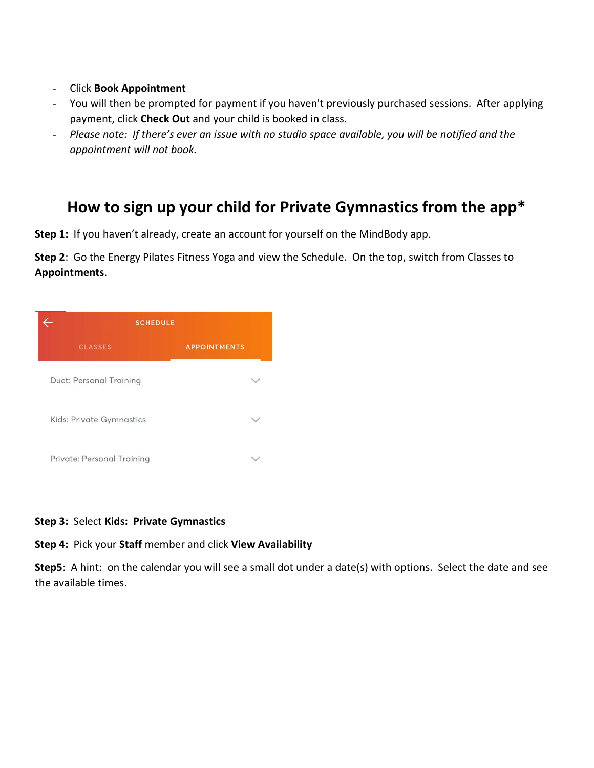- Click Book Appointment
- You will then be prompted for payment if you haven't previously purchased sessions. After applying payment, click Check Out and your child is booked in class.
- Please note: If there's ever an issue with no studio space available, you will be notified and the appointment will not book.

### How to sign up your child for Private Gymnastics from the app\*

Step 1: If you haven't already, create an account for yourself on the MindBody app.

Step 2: Go the Energy Pilates Fitness Yoga and view the Schedule. On the top, switch from Classes to Appointments.



#### Step 3: Select Kids: Private Gymnastics

#### Step 4: Pick your Staff member and click View Availability

Step5: A hint: on the calendar you will see a small dot under a date(s) with options. Select the date and see the available times.